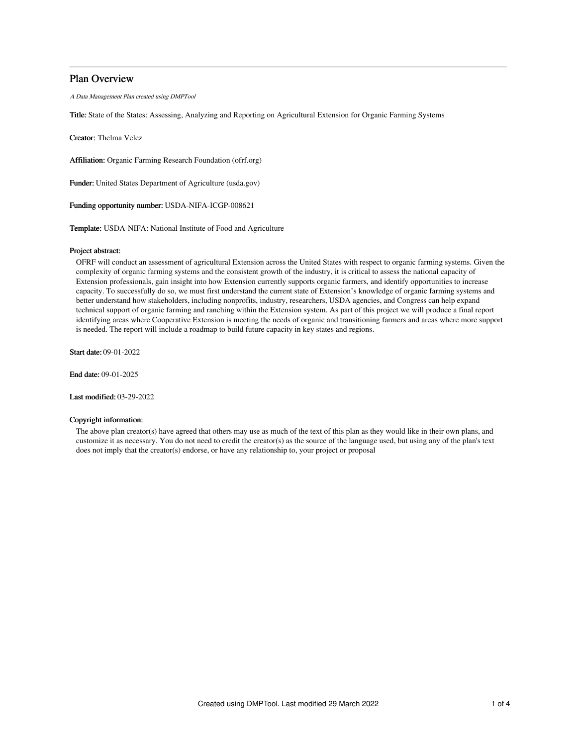## Plan Overview

A Data Management Plan created using DMPTool

Title: State of the States: Assessing, Analyzing and Reporting on Agricultural Extension for Organic Farming Systems

Creator: Thelma Velez

Affiliation: Organic Farming Research Foundation (ofrf.org)

Funder: United States Department of Agriculture (usda.gov)

Funding opportunity number: USDA-NIFA-ICGP-008621

Template: USDA-NIFA: National Institute of Food and Agriculture

## Project abstract:

OFRF will conduct an assessment of agricultural Extension across the United States with respect to organic farming systems. Given the complexity of organic farming systems and the consistent growth of the industry, it is critical to assess the national capacity of Extension professionals, gain insight into how Extension currently supports organic farmers, and identify opportunities to increase capacity. To successfully do so, we must first understand the current state of Extension's knowledge of organic farming systems and better understand how stakeholders, including nonprofits, industry, researchers, USDA agencies, and Congress can help expand technical support of organic farming and ranching within the Extension system. As part of this project we will produce a final report identifying areas where Cooperative Extension is meeting the needs of organic and transitioning farmers and areas where more support is needed. The report will include a roadmap to build future capacity in key states and regions.

Start date: 09-01-2022

End date: 09-01-2025

Last modified: 03-29-2022

## Copyright information:

The above plan creator(s) have agreed that others may use as much of the text of this plan as they would like in their own plans, and customize it as necessary. You do not need to credit the creator(s) as the source of the language used, but using any of the plan's text does not imply that the creator(s) endorse, or have any relationship to, your project or proposal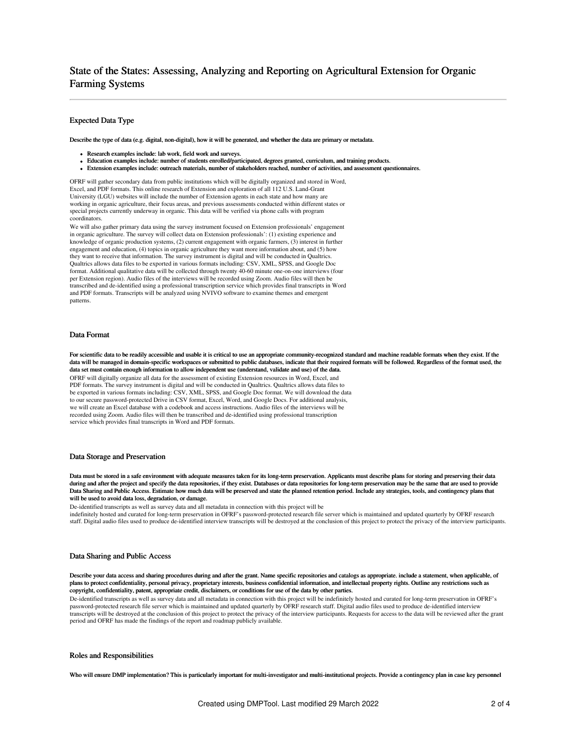# State of the States: Assessing, Analyzing and Reporting on Agricultural Extension for Organic Farming Systems

## Expected Data Type

Describe the type of data (e.g. digital, non-digital), how it will be generated, and whether the data are primary or metadata.

- Research examples include: lab work, field work and surveys.
- Education examples include: number of students enrolled/participated, degrees granted, curriculum, and training products.
- Extension examples include: outreach materials, number of stakeholders reached, number of activities, and assessment questionnaires.

OFRF will gather secondary data from public institutions which will be digitally organized and stored in Word, Excel, and PDF formats. This online research of Extension and exploration of all 112 U.S. Land-Grant University (LGU) websites will include the number of Extension agents in each state and how many are working in organic agriculture, their focus areas, and previous assessments conducted within different states or special projects currently underway in organic. This data will be verified via phone calls with program coordinators.

We will also gather primary data using the survey instrument focused on Extension professionals' engagement in organic agriculture. The survey will collect data on Extension professionals': (1) existing experience and knowledge of organic production systems, (2) current engagement with organic farmers, (3) interest in further engagement and education, (4) topics in organic agriculture they want more information about, and (5) how they want to receive that information. The survey instrument is digital and will be conducted in Qualtrics. Qualtrics allows data files to be exported in various formats including: CSV, XML, SPSS, and Google Doc format. Additional qualitative data will be collected through twenty 40-60 minute one-on-one interviews (four per Extension region). Audio files of the interviews will be recorded using Zoom. Audio files will then be transcribed and de-identified using a professional transcription service which provides final transcripts in Word and PDF formats. Transcripts will be analyzed using NVIVO software to examine themes and emergent patterns.

### Data Format

For scientific data to be readily accessible and usable it is critical to use an appropriate community-recognized standard and machine readable formats when they exist. If the data will be managed in domain-specific workspaces or submitted to public databases, indicate that their required formats will be followed. Regardless of the format used, the data set must contain enough information to allow independent use (understand, validate and use) of the data.

OFRF will digitally organize all data for the assessment of existing Extension resources in Word, Excel, and PDF formats. The survey instrument is digital and will be conducted in Qualtrics. Qualtrics allows data files to be exported in various formats including: CSV, XML, SPSS, and Google Doc format. We will download the data to our secure password-protected Drive in CSV format, Excel, Word, and Google Docs. For additional analysis, we will create an Excel database with a codebook and access instructions. Audio files of the interviews will be recorded using Zoom. Audio files will then be transcribed and de-identified using professional transcription service which provides final transcripts in Word and PDF formats.

### Data Storage and Preservation

Data must be stored in a safe environment with adequate measures taken for its long-term preservation. Applicants must describe plans for storing and preserving their data during and after the project and specify the data repositories, if they exist. Databases or data repositories for long-term preservation may be the same that are used to provide Data Sharing and Public Access. Estimate how much data will be preserved and state the planned retention period. Include any strategies, tools, and contingency plans that will be used to avoid data loss, degradation, or damage.

De-identified transcripts as well as survey data and all metadata in connection with this project will be

indefinitely hosted and curated for long-term preservation in OFRF's password-protected research file server which is maintained and updated quarterly by OFRF research staff. Digital audio files used to produce de-identified interview transcripts will be destroyed at the conclusion of this project to protect the privacy of the interview participants.

#### Data Sharing and Public Access

Describe your data access and sharing procedures during and after the grant. Name specific repositories and catalogs as appropriate. include a statement, when applicable, of plans to protect confidentiality, personal privacy, proprietary interests, business confidential information, and intellectual property rights. Outline any restrictions such as copyright, confidentiality, patent, appropriate credit, disclaimers, or conditions for use of the data by other parties.

De-identified transcripts as well as survey data and all metadata in connection with this project will be indefinitely hosted and curated for long-term preservation in OFRF's password-protected research file server which is maintained and updated quarterly by OFRF research staff. Digital audio files used to produce de-identified interview transcripts will be destroyed at the conclusion of this project to protect the privacy of the interview participants. Requests for access to the data will be reviewed after the grant period and OFRF has made the findings of the report and roadmap publicly available.

### Roles and Responsibilities

Who will ensure DMP implementation? This is particularly important for multi-investigator and multi-institutional projects. Provide a contingency plan in case key personnel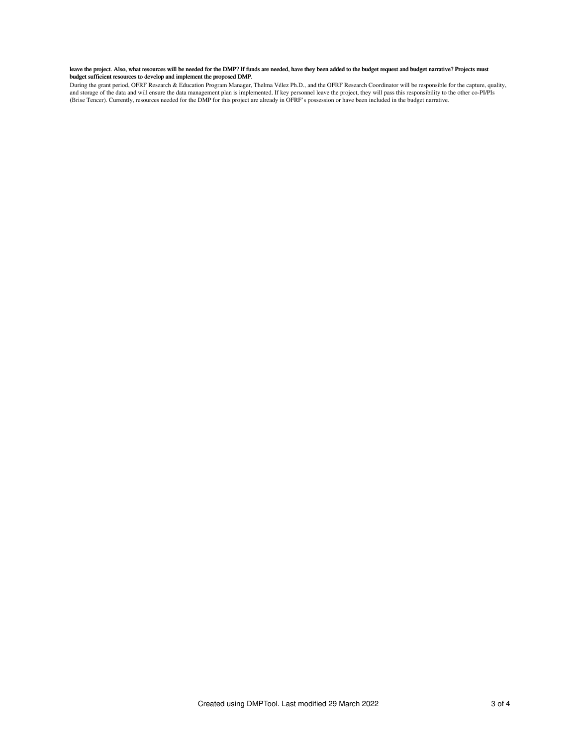### leave the project. Also, what resources will be needed for the DMP? If funds are needed, have they been added to the budget request and budget narrative? Projects must budget sufficient resources to develop and implement the proposed DMP.

During the grant period, OFRF Research & Education Program Manager, Thelma Vélez Ph.D., and the OFRF Research Coordinator will be responsible for the capture, quality,<br>and storage of the data and will ensure the data manag